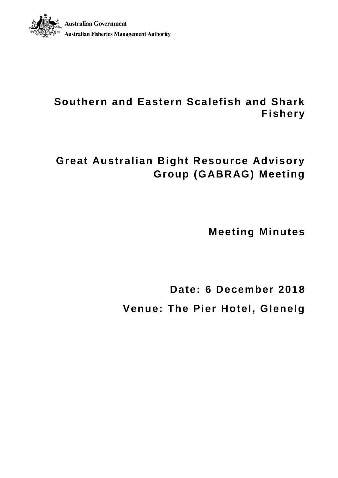

# **Southern and Eastern Scalefish and Shark Fishery**

# **Great Australian Bight Resource Advisory Group (GABRAG) Meeting**

**Meeting Minutes**

**Date: 6 December 2018 Venue: The Pier Hotel, Glenelg**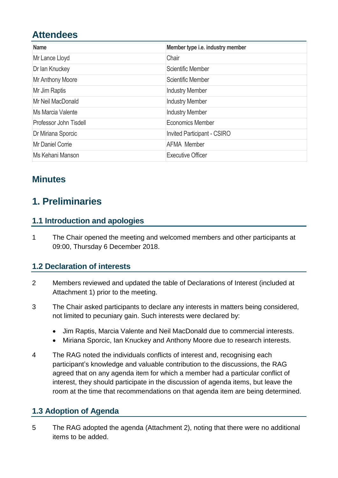# **Attendees**

| <b>Name</b>            | Member type i.e. industry member   |
|------------------------|------------------------------------|
| Mr Lance Lloyd         | Chair                              |
| Dr Ian Knuckey         | Scientific Member                  |
| Mr Anthony Moore       | Scientific Member                  |
| Mr Jim Raptis          | <b>Industry Member</b>             |
| Mr Neil MacDonald      | <b>Industry Member</b>             |
| Ms Marcia Valente      | <b>Industry Member</b>             |
| Professor John Tisdell | <b>Economics Member</b>            |
| Dr Miriana Sporcic     | <b>Invited Participant - CSIRO</b> |
| Mr Daniel Corrie       | <b>AFMA Member</b>                 |
| Ms Kehani Manson       | <b>Executive Officer</b>           |

## **Minutes**

# **1. Preliminaries**

## **1.1 Introduction and apologies**

1 The Chair opened the meeting and welcomed members and other participants at 09:00, Thursday 6 December 2018.

## **1.2 Declaration of interests**

- 2 Members reviewed and updated the table of Declarations of Interest (included at Attachment 1) prior to the meeting.
- 3 The Chair asked participants to declare any interests in matters being considered, not limited to pecuniary gain. Such interests were declared by:
	- Jim Raptis, Marcia Valente and Neil MacDonald due to commercial interests.
	- Miriana Sporcic, Ian Knuckey and Anthony Moore due to research interests.
- 4 The RAG noted the individuals conflicts of interest and, recognising each participant's knowledge and valuable contribution to the discussions, the RAG agreed that on any agenda item for which a member had a particular conflict of interest, they should participate in the discussion of agenda items, but leave the room at the time that recommendations on that agenda item are being determined.

## **1.3 Adoption of Agenda**

5 The RAG adopted the agenda (Attachment 2), noting that there were no additional items to be added.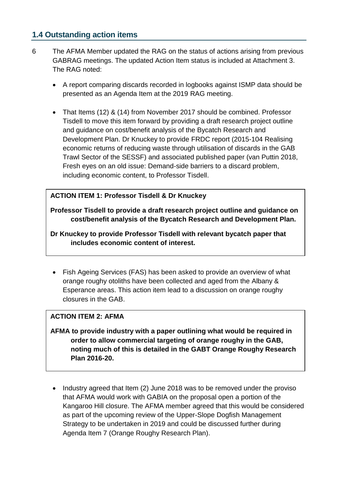## **1.4 Outstanding action items**

- 6 The AFMA Member updated the RAG on the status of actions arising from previous GABRAG meetings. The updated Action Item status is included at Attachment 3. The RAG noted:
	- A report comparing discards recorded in logbooks against ISMP data should be presented as an Agenda Item at the 2019 RAG meeting.
	- That Items (12) & (14) from November 2017 should be combined. Professor Tisdell to move this item forward by providing a draft research project outline and guidance on cost/benefit analysis of the Bycatch Research and Development Plan. Dr Knuckey to provide FRDC report (2015-104 Realising economic returns of reducing waste through utilisation of discards in the GAB Trawl Sector of the SESSF) and associated published paper (van Puttin 2018, Fresh eyes on an old issue: Demand-side barriers to a discard problem, including economic content, to Professor Tisdell.

#### **ACTION ITEM 1: Professor Tisdell & Dr Knuckey**

**Professor Tisdell to provide a draft research project outline and guidance on cost/benefit analysis of the Bycatch Research and Development Plan.**

**Dr Knuckey to provide Professor Tisdell with relevant bycatch paper that includes economic content of interest.**

• Fish Ageing Services (FAS) has been asked to provide an overview of what orange roughy otoliths have been collected and aged from the Albany & Esperance areas. This action item lead to a discussion on orange roughy closures in the GAB.

#### **ACTION ITEM 2: AFMA**

- **AFMA to provide industry with a paper outlining what would be required in order to allow commercial targeting of orange roughy in the GAB, noting much of this is detailed in the GABT Orange Roughy Research Plan 2016-20.**
- Industry agreed that Item (2) June 2018 was to be removed under the proviso that AFMA would work with GABIA on the proposal open a portion of the Kangaroo Hill closure. The AFMA member agreed that this would be considered as part of the upcoming review of the Upper-Slope Dogfish Management Strategy to be undertaken in 2019 and could be discussed further during Agenda Item 7 (Orange Roughy Research Plan).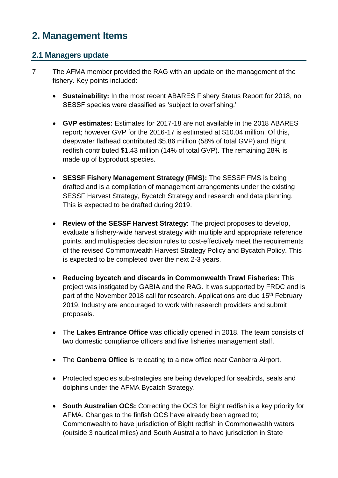# **2. Management Items**

## **2.1 Managers update**

- 7 The AFMA member provided the RAG with an update on the management of the fishery. Key points included:
	- **Sustainability:** In the most recent ABARES Fishery Status Report for 2018, no SESSF species were classified as 'subject to overfishing.'
	- **GVP estimates:** Estimates for 2017-18 are not available in the 2018 ABARES report; however GVP for the 2016-17 is estimated at \$10.04 million. Of this, deepwater flathead contributed \$5.86 million (58% of total GVP) and Bight redfish contributed \$1.43 million (14% of total GVP). The remaining 28% is made up of byproduct species.
	- **SESSF Fishery Management Strategy (FMS):** The SESSF FMS is being drafted and is a compilation of management arrangements under the existing SESSF Harvest Strategy, Bycatch Strategy and research and data planning. This is expected to be drafted during 2019.
	- **Review of the SESSF Harvest Strategy:** The project proposes to develop, evaluate a fishery-wide harvest strategy with multiple and appropriate reference points, and multispecies decision rules to cost-effectively meet the requirements of the revised Commonwealth Harvest Strategy Policy and Bycatch Policy. This is expected to be completed over the next 2-3 years.
	- **Reducing bycatch and discards in Commonwealth Trawl Fisheries:** This project was instigated by GABIA and the RAG. It was supported by FRDC and is part of the November 2018 call for research. Applications are due 15<sup>th</sup> February 2019. Industry are encouraged to work with research providers and submit proposals.
	- The **Lakes Entrance Office** was officially opened in 2018. The team consists of two domestic compliance officers and five fisheries management staff.
	- The **Canberra Office** is relocating to a new office near Canberra Airport.
	- Protected species sub-strategies are being developed for seabirds, seals and dolphins under the AFMA Bycatch Strategy.
	- **South Australian OCS:** Correcting the OCS for Bight redfish is a key priority for AFMA. Changes to the finfish OCS have already been agreed to; Commonwealth to have jurisdiction of Bight redfish in Commonwealth waters (outside 3 nautical miles) and South Australia to have jurisdiction in State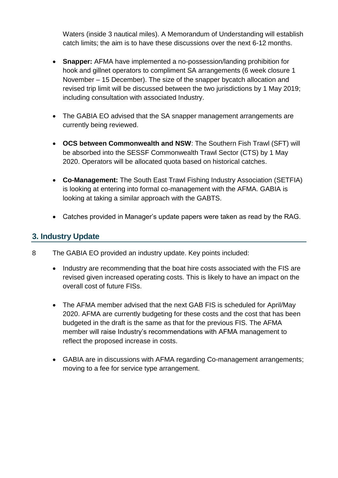Waters (inside 3 nautical miles). A Memorandum of Understanding will establish catch limits; the aim is to have these discussions over the next 6-12 months.

- **Snapper:** AFMA have implemented a no-possession/landing prohibition for hook and gillnet operators to compliment SA arrangements (6 week closure 1 November – 15 December). The size of the snapper bycatch allocation and revised trip limit will be discussed between the two jurisdictions by 1 May 2019; including consultation with associated Industry.
- The GABIA EO advised that the SA snapper management arrangements are currently being reviewed.
- **OCS between Commonwealth and NSW**: The Southern Fish Trawl (SFT) will be absorbed into the SESSF Commonwealth Trawl Sector (CTS) by 1 May 2020. Operators will be allocated quota based on historical catches.
- **Co-Management:** The South East Trawl Fishing Industry Association (SETFIA) is looking at entering into formal co-management with the AFMA. GABIA is looking at taking a similar approach with the GABTS.
- Catches provided in Manager's update papers were taken as read by the RAG.

### **3. Industry Update**

- 8 The GABIA EO provided an industry update. Key points included:
	- Industry are recommending that the boat hire costs associated with the FIS are revised given increased operating costs. This is likely to have an impact on the overall cost of future FISs.
	- The AFMA member advised that the next GAB FIS is scheduled for April/May 2020. AFMA are currently budgeting for these costs and the cost that has been budgeted in the draft is the same as that for the previous FIS. The AFMA member will raise Industry's recommendations with AFMA management to reflect the proposed increase in costs.
	- GABIA are in discussions with AFMA regarding Co-management arrangements; moving to a fee for service type arrangement.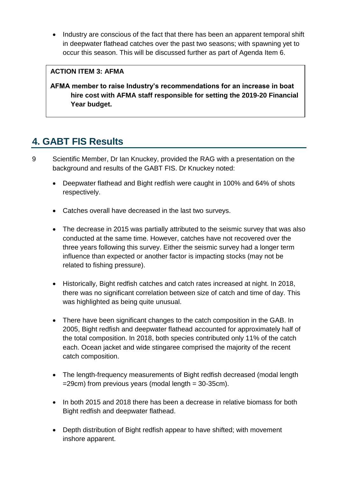• Industry are conscious of the fact that there has been an apparent temporal shift in deepwater flathead catches over the past two seasons; with spawning yet to occur this season. This will be discussed further as part of Agenda Item 6.

#### **ACTION ITEM 3: AFMA**

**AFMA member to raise Industry's recommendations for an increase in boat hire cost with AFMA staff responsible for setting the 2019-20 Financial Year budget.**

# **4. GABT FIS Results**

- 9 Scientific Member, Dr Ian Knuckey, provided the RAG with a presentation on the background and results of the GABT FIS. Dr Knuckey noted:
	- Deepwater flathead and Bight redfish were caught in 100% and 64% of shots respectively.
	- Catches overall have decreased in the last two surveys.
	- The decrease in 2015 was partially attributed to the seismic survey that was also conducted at the same time. However, catches have not recovered over the three years following this survey. Either the seismic survey had a longer term influence than expected or another factor is impacting stocks (may not be related to fishing pressure).
	- Historically, Bight redfish catches and catch rates increased at night. In 2018, there was no significant correlation between size of catch and time of day. This was highlighted as being quite unusual.
	- There have been significant changes to the catch composition in the GAB. In 2005, Bight redfish and deepwater flathead accounted for approximately half of the total composition. In 2018, both species contributed only 11% of the catch each. Ocean jacket and wide stingaree comprised the majority of the recent catch composition.
	- The length-frequency measurements of Bight redfish decreased (modal length =29cm) from previous years (modal length = 30-35cm).
	- In both 2015 and 2018 there has been a decrease in relative biomass for both Bight redfish and deepwater flathead.
	- Depth distribution of Bight redfish appear to have shifted; with movement inshore apparent.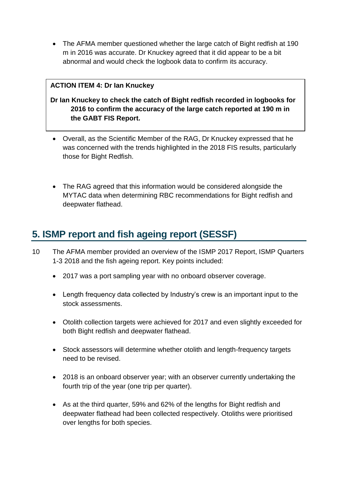• The AFMA member questioned whether the large catch of Bight redfish at 190 m in 2016 was accurate. Dr Knuckey agreed that it did appear to be a bit abnormal and would check the logbook data to confirm its accuracy.

#### **ACTION ITEM 4: Dr Ian Knuckey**

### **Dr Ian Knuckey to check the catch of Bight redfish recorded in logbooks for 2016 to confirm the accuracy of the large catch reported at 190 m in the GABT FIS Report.**

- Overall, as the Scientific Member of the RAG, Dr Knuckey expressed that he was concerned with the trends highlighted in the 2018 FIS results, particularly those for Bight Redfish.
- The RAG agreed that this information would be considered alongside the MYTAC data when determining RBC recommendations for Bight redfish and deepwater flathead.

## **5. ISMP report and fish ageing report (SESSF)**

- 10 The AFMA member provided an overview of the ISMP 2017 Report, ISMP Quarters 1-3 2018 and the fish ageing report. Key points included:
	- 2017 was a port sampling year with no onboard observer coverage.
	- Length frequency data collected by Industry's crew is an important input to the stock assessments.
	- Otolith collection targets were achieved for 2017 and even slightly exceeded for both Bight redfish and deepwater flathead.
	- Stock assessors will determine whether otolith and length-frequency targets need to be revised.
	- 2018 is an onboard observer year; with an observer currently undertaking the fourth trip of the year (one trip per quarter).
	- As at the third quarter, 59% and 62% of the lengths for Bight redfish and deepwater flathead had been collected respectively. Otoliths were prioritised over lengths for both species.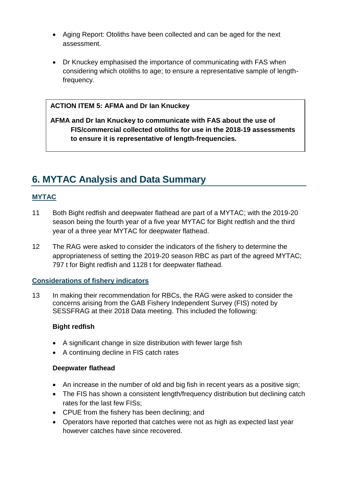- Aging Report: Otoliths have been collected and can be aged for the next assessment.
- Dr Knuckey emphasised the importance of communicating with FAS when considering which otoliths to age; to ensure a representative sample of lengthfrequency.

#### **ACTION ITEM 5: AFMA and Dr Ian Knuckey**

**AFMA and Dr Ian Knuckey to communicate with FAS about the use of FIS/commercial collected otoliths for use in the 2018-19 assessments to ensure it is representative of length-frequencies.**

# **6. MYTAC Analysis and Data Summary**

#### **MYTAC**

- 11 Both Bight redfish and deepwater flathead are part of a MYTAC; with the 2019-20 season being the fourth year of a five year MYTAC for Bight redfish and the third year of a three year MYTAC for deepwater flathead.
- 12 The RAG were asked to consider the indicators of the fishery to determine the appropriateness of setting the 2019-20 season RBC as part of the agreed MYTAC; 797 t for Bight redfish and 1128 t for deepwater flathead.

#### **Considerations of fishery indicators**

13 In making their recommendation for RBCs, the RAG were asked to consider the concerns arising from the GAB Fishery Independent Survey (FIS) noted by SESSFRAG at their 2018 Data meeting. This included the following:

#### **Bight redfish**

- A significant change in size distribution with fewer large fish
- A continuing decline in FIS catch rates

#### **Deepwater flathead**

- An increase in the number of old and big fish in recent years as a positive sign;
- The FIS has shown a consistent length/frequency distribution but declining catch rates for the last few FISs;
- CPUE from the fishery has been declining; and
- Operators have reported that catches were not as high as expected last year however catches have since recovered.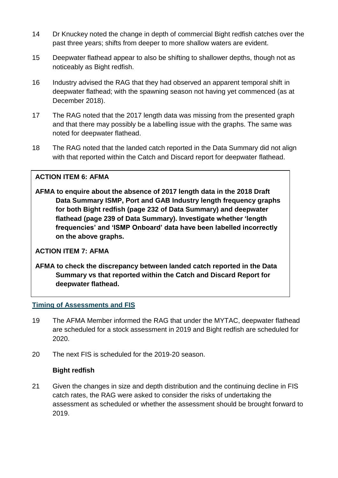- 14 Dr Knuckey noted the change in depth of commercial Bight redfish catches over the past three years; shifts from deeper to more shallow waters are evident.
- 15 Deepwater flathead appear to also be shifting to shallower depths, though not as noticeably as Bight redfish.
- 16 Industry advised the RAG that they had observed an apparent temporal shift in deepwater flathead; with the spawning season not having yet commenced (as at December 2018).
- 17 The RAG noted that the 2017 length data was missing from the presented graph and that there may possibly be a labelling issue with the graphs. The same was noted for deepwater flathead.
- 18 The RAG noted that the landed catch reported in the Data Summary did not align with that reported within the Catch and Discard report for deepwater flathead.

#### **ACTION ITEM 6: AFMA**

**AFMA to enquire about the absence of 2017 length data in the 2018 Draft Data Summary ISMP, Port and GAB Industry length frequency graphs for both Bight redfish (page 232 of Data Summary) and deepwater flathead (page 239 of Data Summary). Investigate whether 'length frequencies' and 'ISMP Onboard' data have been labelled incorrectly on the above graphs.**

#### **ACTION ITEM 7: AFMA**

**AFMA to check the discrepancy between landed catch reported in the Data Summary vs that reported within the Catch and Discard Report for deepwater flathead.**

#### **Timing of Assessments and FIS**

- 19 The AFMA Member informed the RAG that under the MYTAC, deepwater flathead are scheduled for a stock assessment in 2019 and Bight redfish are scheduled for 2020.
- 20 The next FIS is scheduled for the 2019-20 season.

#### **Bight redfish**

21 Given the changes in size and depth distribution and the continuing decline in FIS catch rates, the RAG were asked to consider the risks of undertaking the assessment as scheduled or whether the assessment should be brought forward to 2019.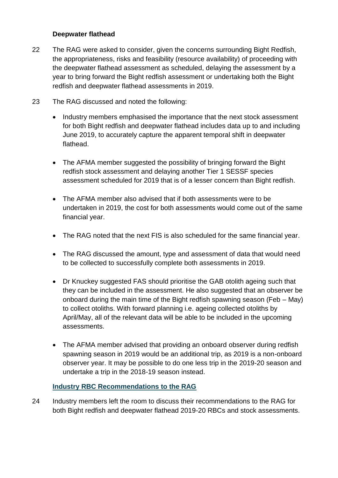#### **Deepwater flathead**

- 22 The RAG were asked to consider, given the concerns surrounding Bight Redfish, the appropriateness, risks and feasibility (resource availability) of proceeding with the deepwater flathead assessment as scheduled, delaying the assessment by a year to bring forward the Bight redfish assessment or undertaking both the Bight redfish and deepwater flathead assessments in 2019.
- 23 The RAG discussed and noted the following:
	- Industry members emphasised the importance that the next stock assessment for both Bight redfish and deepwater flathead includes data up to and including June 2019, to accurately capture the apparent temporal shift in deepwater flathead.
	- The AFMA member suggested the possibility of bringing forward the Bight redfish stock assessment and delaying another Tier 1 SESSF species assessment scheduled for 2019 that is of a lesser concern than Bight redfish.
	- The AFMA member also advised that if both assessments were to be undertaken in 2019, the cost for both assessments would come out of the same financial year.
	- The RAG noted that the next FIS is also scheduled for the same financial year.
	- The RAG discussed the amount, type and assessment of data that would need to be collected to successfully complete both assessments in 2019.
	- Dr Knuckey suggested FAS should prioritise the GAB otolith ageing such that they can be included in the assessment. He also suggested that an observer be onboard during the main time of the Bight redfish spawning season (Feb – May) to collect otoliths. With forward planning i.e. ageing collected otoliths by April/May, all of the relevant data will be able to be included in the upcoming assessments.
	- The AFMA member advised that providing an onboard observer during redfish spawning season in 2019 would be an additional trip, as 2019 is a non-onboard observer year. It may be possible to do one less trip in the 2019-20 season and undertake a trip in the 2018-19 season instead.

#### **Industry RBC Recommendations to the RAG**

24 Industry members left the room to discuss their recommendations to the RAG for both Bight redfish and deepwater flathead 2019-20 RBCs and stock assessments.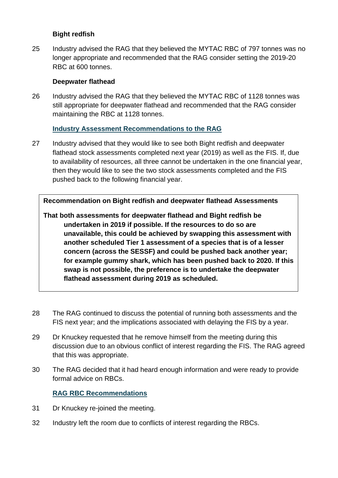#### **Bight redfish**

25 Industry advised the RAG that they believed the MYTAC RBC of 797 tonnes was no longer appropriate and recommended that the RAG consider setting the 2019-20 RBC at 600 tonnes.

#### **Deepwater flathead**

26 Industry advised the RAG that they believed the MYTAC RBC of 1128 tonnes was still appropriate for deepwater flathead and recommended that the RAG consider maintaining the RBC at 1128 tonnes.

### **Industry Assessment Recommendations to the RAG**

27 Industry advised that they would like to see both Bight redfish and deepwater flathead stock assessments completed next year (2019) as well as the FIS. If, due to availability of resources, all three cannot be undertaken in the one financial year, then they would like to see the two stock assessments completed and the FIS pushed back to the following financial year.

**Recommendation on Bight redfish and deepwater flathead Assessments**

**That both assessments for deepwater flathead and Bight redfish be undertaken in 2019 if possible. If the resources to do so are unavailable, this could be achieved by swapping this assessment with another scheduled Tier 1 assessment of a species that is of a lesser concern (across the SESSF) and could be pushed back another year; for example gummy shark, which has been pushed back to 2020. If this swap is not possible, the preference is to undertake the deepwater flathead assessment during 2019 as scheduled.**

- 28 The RAG continued to discuss the potential of running both assessments and the FIS next year; and the implications associated with delaying the FIS by a year.
- 29 Dr Knuckey requested that he remove himself from the meeting during this discussion due to an obvious conflict of interest regarding the FIS. The RAG agreed that this was appropriate.
- 30 The RAG decided that it had heard enough information and were ready to provide formal advice on RBCs.

### **RAG RBC Recommendations**

- 31 Dr Knuckey re-joined the meeting.
- 32 Industry left the room due to conflicts of interest regarding the RBCs.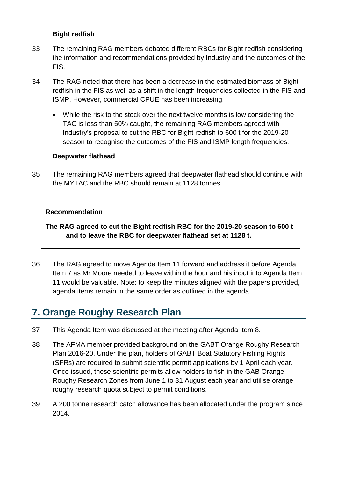#### **Bight redfish**

- 33 The remaining RAG members debated different RBCs for Bight redfish considering the information and recommendations provided by Industry and the outcomes of the FIS.
- 34 The RAG noted that there has been a decrease in the estimated biomass of Bight redfish in the FIS as well as a shift in the length frequencies collected in the FIS and ISMP. However, commercial CPUE has been increasing.
	- While the risk to the stock over the next twelve months is low considering the TAC is less than 50% caught, the remaining RAG members agreed with Industry's proposal to cut the RBC for Bight redfish to 600 t for the 2019-20 season to recognise the outcomes of the FIS and ISMP length frequencies.

#### **Deepwater flathead**

35 The remaining RAG members agreed that deepwater flathead should continue with the MYTAC and the RBC should remain at 1128 tonnes.

#### **Recommendation**

**The RAG agreed to cut the Bight redfish RBC for the 2019-20 season to 600 t and to leave the RBC for deepwater flathead set at 1128 t.**

36 The RAG agreed to move Agenda Item 11 forward and address it before Agenda Item 7 as Mr Moore needed to leave within the hour and his input into Agenda Item 11 would be valuable. Note: to keep the minutes aligned with the papers provided, agenda items remain in the same order as outlined in the agenda.

## **7. Orange Roughy Research Plan**

- 37 This Agenda Item was discussed at the meeting after Agenda Item 8.
- 38 The AFMA member provided background on the GABT Orange Roughy Research Plan 2016-20. Under the plan, holders of GABT Boat Statutory Fishing Rights (SFRs) are required to submit scientific permit applications by 1 April each year. Once issued, these scientific permits allow holders to fish in the GAB Orange Roughy Research Zones from June 1 to 31 August each year and utilise orange roughy research quota subject to permit conditions.
- 39 A 200 tonne research catch allowance has been allocated under the program since 2014.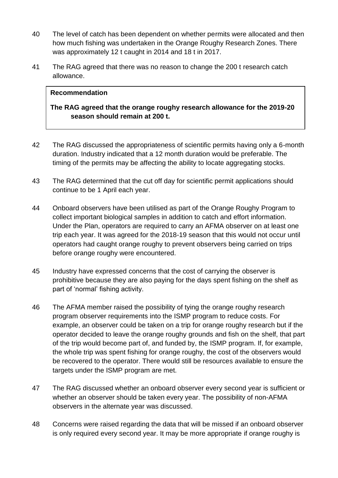- 40 The level of catch has been dependent on whether permits were allocated and then how much fishing was undertaken in the Orange Roughy Research Zones. There was approximately 12 t caught in 2014 and 18 t in 2017.
- 41 The RAG agreed that there was no reason to change the 200 t research catch allowance.

#### **Recommendation**

### **The RAG agreed that the orange roughy research allowance for the 2019-20 season should remain at 200 t.**

- 42 The RAG discussed the appropriateness of scientific permits having only a 6-month duration. Industry indicated that a 12 month duration would be preferable. The timing of the permits may be affecting the ability to locate aggregating stocks.
- 43 The RAG determined that the cut off day for scientific permit applications should continue to be 1 April each year.
- 44 Onboard observers have been utilised as part of the Orange Roughy Program to collect important biological samples in addition to catch and effort information. Under the Plan, operators are required to carry an AFMA observer on at least one trip each year. It was agreed for the 2018-19 season that this would not occur until operators had caught orange roughy to prevent observers being carried on trips before orange roughy were encountered.
- 45 Industry have expressed concerns that the cost of carrying the observer is prohibitive because they are also paying for the days spent fishing on the shelf as part of 'normal' fishing activity.
- 46 The AFMA member raised the possibility of tying the orange roughy research program observer requirements into the ISMP program to reduce costs. For example, an observer could be taken on a trip for orange roughy research but if the operator decided to leave the orange roughy grounds and fish on the shelf, that part of the trip would become part of, and funded by, the ISMP program. If, for example, the whole trip was spent fishing for orange roughy, the cost of the observers would be recovered to the operator. There would still be resources available to ensure the targets under the ISMP program are met.
- 47 The RAG discussed whether an onboard observer every second year is sufficient or whether an observer should be taken every year. The possibility of non-AFMA observers in the alternate year was discussed.
- 48 Concerns were raised regarding the data that will be missed if an onboard observer is only required every second year. It may be more appropriate if orange roughy is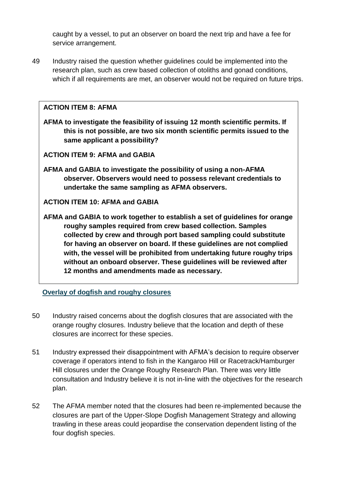caught by a vessel, to put an observer on board the next trip and have a fee for service arrangement.

49 Industry raised the question whether guidelines could be implemented into the research plan, such as crew based collection of otoliths and gonad conditions, which if all requirements are met, an observer would not be required on future trips.

#### **ACTION ITEM 8: AFMA**

**AFMA to investigate the feasibility of issuing 12 month scientific permits. If this is not possible, are two six month scientific permits issued to the same applicant a possibility?**

**ACTION ITEM 9: AFMA and GABIA**

**AFMA and GABIA to investigate the possibility of using a non-AFMA observer. Observers would need to possess relevant credentials to undertake the same sampling as AFMA observers.**

#### **ACTION ITEM 10: AFMA and GABIA**

**AFMA and GABIA to work together to establish a set of guidelines for orange roughy samples required from crew based collection. Samples collected by crew and through port based sampling could substitute for having an observer on board. If these guidelines are not complied with, the vessel will be prohibited from undertaking future roughy trips without an onboard observer. These guidelines will be reviewed after 12 months and amendments made as necessary.**

**Overlay of dogfish and roughy closures**

- 50 Industry raised concerns about the dogfish closures that are associated with the orange roughy closures. Industry believe that the location and depth of these closures are incorrect for these species.
- 51 Industry expressed their disappointment with AFMA's decision to require observer coverage if operators intend to fish in the Kangaroo Hill or Racetrack/Hamburger Hill closures under the Orange Roughy Research Plan. There was very little consultation and Industry believe it is not in-line with the objectives for the research plan.
- 52 The AFMA member noted that the closures had been re-implemented because the closures are part of the Upper-Slope Dogfish Management Strategy and allowing trawling in these areas could jeopardise the conservation dependent listing of the four dogfish species.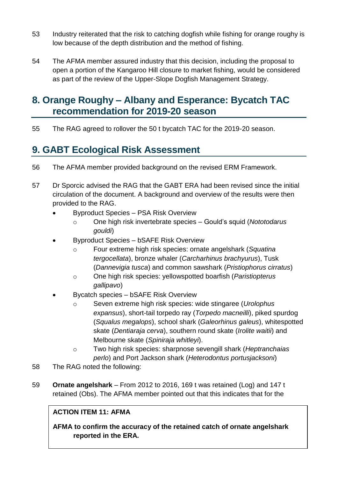- 53 Industry reiterated that the risk to catching dogfish while fishing for orange roughy is low because of the depth distribution and the method of fishing.
- 54 The AFMA member assured industry that this decision, including the proposal to open a portion of the Kangaroo Hill closure to market fishing, would be considered as part of the review of the Upper-Slope Dogfish Management Strategy.

# **8. Orange Roughy – Albany and Esperance: Bycatch TAC recommendation for 2019-20 season**

55 The RAG agreed to rollover the 50 t bycatch TAC for the 2019-20 season.

# **9. GABT Ecological Risk Assessment**

- 56 The AFMA member provided background on the revised ERM Framework.
- 57 Dr Sporcic advised the RAG that the GABT ERA had been revised since the initial circulation of the document. A background and overview of the results were then provided to the RAG.
	- Byproduct Species PSA Risk Overview
		- o One high risk invertebrate species Gould's squid (*Nototodarus gouldi*)
	- Byproduct Species bSAFE Risk Overview
		- o Four extreme high risk species: ornate angelshark (*Squatina tergocellata*), bronze whaler (*Carcharhinus brachyurus*), Tusk (*Dannevigia tusca*) and common sawshark (*Pristiophorus cirratus*)
		- o One high risk species: yellowspotted boarfish (*Paristiopterus gallipavo*)
	- Bycatch species bSAFE Risk Overview
		- o Seven extreme high risk species: wide stingaree (*Urolophus expansus*), short-tail torpedo ray (*Torpedo macneilli*), piked spurdog (*Squalus megalops*), school shark (*Galeorhinus galeus*), whitespotted skate (*Dentiaraja cerva*), southern round skate (*Irolite waitii*) and Melbourne skate (*Spiniraja whitleyi*).
		- o Two high risk species: sharpnose sevengill shark (*Heptranchaias perlo*) and Port Jackson shark (*Heterodontus portusjacksoni*)
- 58 The RAG noted the following:
- 59 **Ornate angelshark** From 2012 to 2016, 169 t was retained (Log) and 147 t retained (Obs). The AFMA member pointed out that this indicates that for the

## **ACTION ITEM 11: AFMA**

**AFMA to confirm the accuracy of the retained catch of ornate angelshark reported in the ERA.**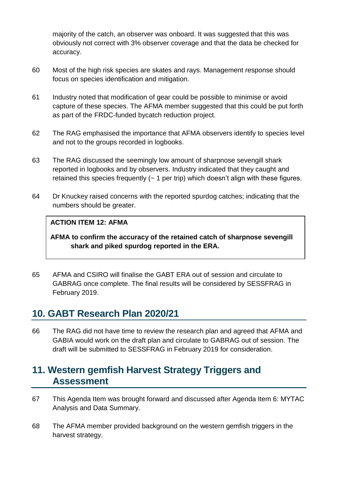majority of the catch, an observer was onboard. It was suggested that this was obviously not correct with 3% observer coverage and that the data be checked for accuracy.

- 60 Most of the high risk species are skates and rays. Management response should focus on species identification and mitigation.
- 61 Industry noted that modification of gear could be possible to minimise or avoid capture of these species. The AFMA member suggested that this could be put forth as part of the FRDC-funded bycatch reduction project.
- 62 The RAG emphasised the importance that AFMA observers identify to species level and not to the groups recorded in logbooks.
- 63 The RAG discussed the seemingly low amount of sharpnose sevengill shark reported in logbooks and by observers. Industry indicated that they caught and retained this species frequently  $($   $\sim$  1 per trip) which doesn't align with these figures.
- 64 Dr Knuckey raised concerns with the reported spurdog catches; indicating that the numbers should be greater.

#### **ACTION ITEM 12: AFMA**

**AFMA to confirm the accuracy of the retained catch of sharpnose sevengill shark and piked spurdog reported in the ERA.**

65 AFMA and CSIRO will finalise the GABT ERA out of session and circulate to GABRAG once complete. The final results will be considered by SESSFRAG in February 2019.

## **10. GABT Research Plan 2020/21**

66 The RAG did not have time to review the research plan and agreed that AFMA and GABIA would work on the draft plan and circulate to GABRAG out of session. The draft will be submitted to SESSFRAG in February 2019 for consideration.

## **11. Western gemfish Harvest Strategy Triggers and Assessment**

- 67 This Agenda Item was brought forward and discussed after Agenda Item 6: MYTAC Analysis and Data Summary.
- 68 The AFMA member provided background on the western gemfish triggers in the harvest strategy.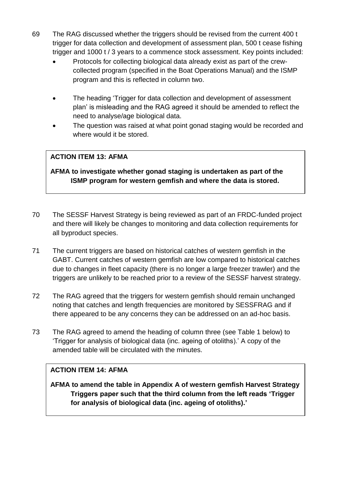- 69 The RAG discussed whether the triggers should be revised from the current 400 t trigger for data collection and development of assessment plan, 500 t cease fishing trigger and 1000 t / 3 years to a commence stock assessment. Key points included:
	- Protocols for collecting biological data already exist as part of the crewcollected program (specified in the Boat Operations Manual) and the ISMP program and this is reflected in column two.
	- The heading 'Trigger for data collection and development of assessment plan' is misleading and the RAG agreed it should be amended to reflect the need to analyse/age biological data.
	- The question was raised at what point gonad staging would be recorded and where would it be stored.

## **ACTION ITEM 13: AFMA**

**AFMA to investigate whether gonad staging is undertaken as part of the ISMP program for western gemfish and where the data is stored.**

- 70 The SESSF Harvest Strategy is being reviewed as part of an FRDC-funded project and there will likely be changes to monitoring and data collection requirements for all byproduct species.
- 71 The current triggers are based on historical catches of western gemfish in the GABT. Current catches of western gemfish are low compared to historical catches due to changes in fleet capacity (there is no longer a large freezer trawler) and the triggers are unlikely to be reached prior to a review of the SESSF harvest strategy.
- 72 The RAG agreed that the triggers for western gemfish should remain unchanged noting that catches and length frequencies are monitored by SESSFRAG and if there appeared to be any concerns they can be addressed on an ad-hoc basis.
- 73 The RAG agreed to amend the heading of column three (see Table 1 below) to 'Trigger for analysis of biological data (inc. ageing of otoliths).' A copy of the amended table will be circulated with the minutes.

### **ACTION ITEM 14: AFMA**

**AFMA to amend the table in Appendix A of western gemfish Harvest Strategy Triggers paper such that the third column from the left reads 'Trigger for analysis of biological data (inc. ageing of otoliths).'**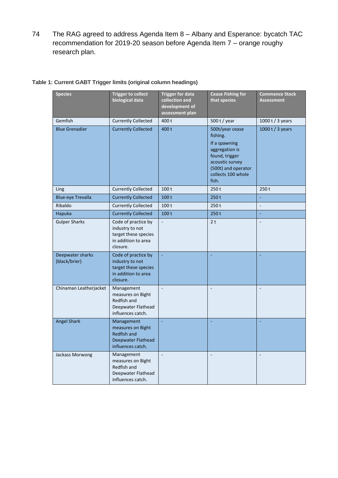74 The RAG agreed to address Agenda Item 8 – Albany and Esperance: bycatch TAC recommendation for 2019-20 season before Agenda Item 7 – orange roughy research plan.

| <b>Species</b>                    | <b>Trigger to collect</b><br>biological data                                                      | <b>Trigger for data</b><br>collection and<br>development of<br>assessment plan | <b>Cease Fishing for</b><br>that species                                                                                                                  | <b>Commence Stock</b><br>Assessment |
|-----------------------------------|---------------------------------------------------------------------------------------------------|--------------------------------------------------------------------------------|-----------------------------------------------------------------------------------------------------------------------------------------------------------|-------------------------------------|
| Gemfish                           | <b>Currently Collected</b>                                                                        | 400 t                                                                          | 500 t / year                                                                                                                                              | 1000 t / 3 years                    |
| <b>Blue Grenadier</b>             | <b>Currently Collected</b>                                                                        | 400 t                                                                          | 500t/year cease<br>fishing.<br>If a spawning<br>aggregation is<br>found, trigger<br>acoustic survey<br>(500t) and operator<br>collects 100 whole<br>fish. | 1000 t / 3 years                    |
| Ling                              | <b>Currently Collected</b>                                                                        | 100 <sub>t</sub>                                                               | 250t                                                                                                                                                      | 250t                                |
| <b>Blue-eye Trevalla</b>          | <b>Currently Collected</b>                                                                        | 100t                                                                           | 250t                                                                                                                                                      | L,                                  |
| Ribaldo                           | <b>Currently Collected</b>                                                                        | 100t                                                                           | 250t                                                                                                                                                      | $\blacksquare$                      |
| Hapuka                            | <b>Currently Collected</b>                                                                        | 100t                                                                           | 250t                                                                                                                                                      | $\omega$                            |
| <b>Gulper Sharks</b>              | Code of practice by<br>industry to not<br>target these species<br>in addition to area<br>closure. | L,                                                                             | 2 <sub>t</sub>                                                                                                                                            | $\Box$                              |
| Deepwater sharks<br>(black/brier) | Code of practice by<br>industry to not<br>target these species<br>in addition to area<br>closure. | $\omega$                                                                       |                                                                                                                                                           |                                     |
| Chinaman Leatherjacket            | Management<br>measures on Bight<br>Redfish and<br>Deepwater Flathead<br>influences catch.         | $\Box$                                                                         |                                                                                                                                                           |                                     |
| <b>Angel Shark</b>                | Management<br>measures on Bight<br><b>Redfish and</b><br>Deepwater Flathead<br>influences catch.  | ä,                                                                             |                                                                                                                                                           |                                     |
| Jackass Morwong                   | Management<br>measures on Bight<br>Redfish and<br>Deepwater Flathead<br>influences catch.         | $\Box$                                                                         | $\blacksquare$                                                                                                                                            | $\blacksquare$                      |

#### **Table 1: Current GABT Trigger limits (original column headings)**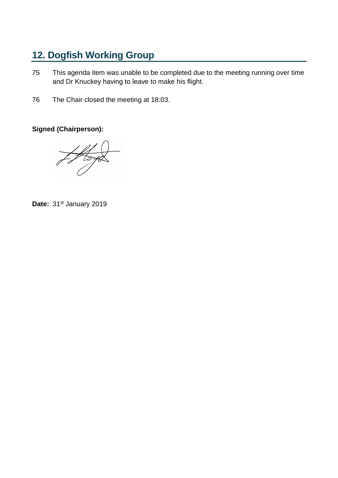# **12. Dogfish Working Group**

- 75 This agenda item was unable to be completed due to the meeting running over time and Dr Knuckey having to leave to make his flight.
- 76 The Chair closed the meeting at 18:03.

**Signed (Chairperson):**

 $H_{\text{total}}$ 

Date: 31<sup>st</sup> January 2019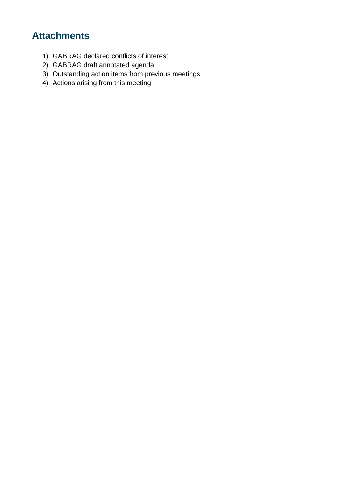# **Attachments**

- 1) GABRAG declared conflicts of interest
- 2) GABRAG draft annotated agenda
- 3) Outstanding action items from previous meetings
- 4) Actions arising from this meeting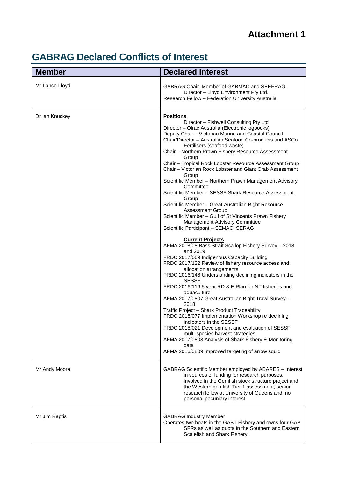# **Attachment 1**

# **GABRAG Declared Conflicts of Interest**

| <b>Member</b>  | <b>Declared Interest</b>                                                                                                                                                                                                                                                                                                                                                                                                                                                                                                                                                                                                                                                                                                                                                                                                                                                                                                                                                                                                                                                                                                                                                                                                                                                                                                                                                                                                                                                                                                                                                                                                       |
|----------------|--------------------------------------------------------------------------------------------------------------------------------------------------------------------------------------------------------------------------------------------------------------------------------------------------------------------------------------------------------------------------------------------------------------------------------------------------------------------------------------------------------------------------------------------------------------------------------------------------------------------------------------------------------------------------------------------------------------------------------------------------------------------------------------------------------------------------------------------------------------------------------------------------------------------------------------------------------------------------------------------------------------------------------------------------------------------------------------------------------------------------------------------------------------------------------------------------------------------------------------------------------------------------------------------------------------------------------------------------------------------------------------------------------------------------------------------------------------------------------------------------------------------------------------------------------------------------------------------------------------------------------|
| Mr Lance Lloyd | GABRAG Chair. Member of GABMAC and SEEFRAG.<br>Director - Lloyd Environment Pty Ltd.<br>Research Fellow - Federation University Australia                                                                                                                                                                                                                                                                                                                                                                                                                                                                                                                                                                                                                                                                                                                                                                                                                                                                                                                                                                                                                                                                                                                                                                                                                                                                                                                                                                                                                                                                                      |
| Dr Ian Knuckey | <b>Positions</b><br>Director - Fishwell Consulting Pty Ltd<br>Director - Olrac Australia (Electronic logbooks)<br>Deputy Chair - Victorian Marine and Coastal Council<br>Chair/Director - Australian Seafood Co-products and ASCo<br>Fertilisers (seafood waste)<br>Chair - Northern Prawn Fishery Resource Assessment<br>Group<br>Chair - Tropical Rock Lobster Resource Assessment Group<br>Chair - Victorian Rock Lobster and Giant Crab Assessment<br>Group<br>Scientific Member - Northern Prawn Management Advisory<br>Committee<br>Scientific Member - SESSF Shark Resource Assessment<br>Group<br>Scientific Member - Great Australian Bight Resource<br><b>Assessment Group</b><br>Scientific Member - Gulf of St Vincents Prawn Fishery<br>Management Advisory Committee<br>Scientific Participant - SEMAC, SERAG<br><b>Current Projects</b><br>AFMA 2018/08 Bass Strait Scallop Fishery Survey - 2018<br>and 2019<br>FRDC 2017/069 Indigenous Capacity Building<br>FRDC 2017/122 Review of fishery resource access and<br>allocation arrangements<br>FRDC 2016/146 Understanding declining indicators in the<br><b>SESSF</b><br>FRDC 2016/116 5 year RD & E Plan for NT fisheries and<br>aquaculture<br>AFMA 2017/0807 Great Australian Bight Trawl Survey -<br>2018<br>Traffic Project - Shark Product Traceability<br>FRDC 2018/077 Implementation Workshop re declining<br>indicators in the SESSF<br>FRDC 2018/021 Development and evaluation of SESSF<br>multi-species harvest strategies<br>AFMA 2017/0803 Analysis of Shark Fishery E-Monitoring<br>data<br>AFMA 2016/0809 Improved targeting of arrow squid |
| Mr Andy Moore  | GABRAG Scientific Member employed by ABARES - Interest<br>in sources of funding for research purposes,<br>involved in the Gemfish stock structure project and<br>the Western gemfish Tier 1 assessment, senior<br>research fellow at University of Queensland, no<br>personal pecuniary interest.                                                                                                                                                                                                                                                                                                                                                                                                                                                                                                                                                                                                                                                                                                                                                                                                                                                                                                                                                                                                                                                                                                                                                                                                                                                                                                                              |
| Mr Jim Raptis  | <b>GABRAG Industry Member</b><br>Operates two boats in the GABT Fishery and owns four GAB<br>SFRs as well as quota in the Southern and Eastern<br>Scalefish and Shark Fishery.                                                                                                                                                                                                                                                                                                                                                                                                                                                                                                                                                                                                                                                                                                                                                                                                                                                                                                                                                                                                                                                                                                                                                                                                                                                                                                                                                                                                                                                 |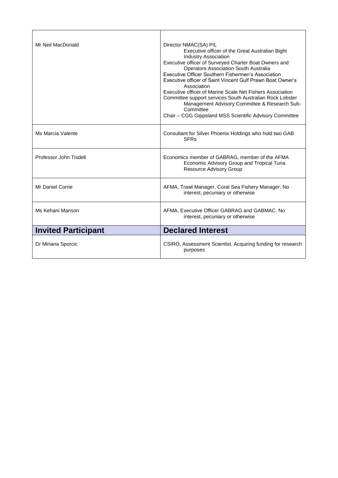| Mr Neil MacDonald          | Director NMAC(SA) P/L<br>Executive officer of the Great Australian Bight<br><b>Industry Association</b><br>Executive officer of Surveyed Charter Boat Owners and<br><b>Operators Association South Australia</b><br>Executive Officer Southern Fishermen's Association<br>Executive officer of Saint Vincent Gulf Prawn Boat Owner's<br>Association<br>Executive officer of Marine Scale Net Fishers Association<br>Committee support services South Australian Rock Lobster<br>Management Advisory Committee & Research Sub-<br>Committee<br>Chair - CGG Gippsland MSS Scientific Advisory Committee |
|----------------------------|-------------------------------------------------------------------------------------------------------------------------------------------------------------------------------------------------------------------------------------------------------------------------------------------------------------------------------------------------------------------------------------------------------------------------------------------------------------------------------------------------------------------------------------------------------------------------------------------------------|
| Ms Marcia Valente          | Consultant for Silver Phoenix Holdings who hold two GAB<br><b>SFR<sub>s</sub></b>                                                                                                                                                                                                                                                                                                                                                                                                                                                                                                                     |
| Professor John Tisdell     | Economics member of GABRAG, member of the AFMA<br>Economic Advisory Group and Tropical Tuna<br><b>Resource Advisory Group</b>                                                                                                                                                                                                                                                                                                                                                                                                                                                                         |
| Mr Daniel Corrie           | AFMA, Trawl Manager, Coral Sea Fishery Manager. No<br>interest, pecuniary or otherwise                                                                                                                                                                                                                                                                                                                                                                                                                                                                                                                |
| Ms Kehani Manson           | AFMA, Executive Officer GABRAG and GABMAC. No<br>interest, pecuniary or otherwise                                                                                                                                                                                                                                                                                                                                                                                                                                                                                                                     |
| <b>Invited Participant</b> | <b>Declared Interest</b>                                                                                                                                                                                                                                                                                                                                                                                                                                                                                                                                                                              |
| Dr Miriana Sporcic         | CSIRO, Assessment Scientist. Acquiring funding for research<br>purposes                                                                                                                                                                                                                                                                                                                                                                                                                                                                                                                               |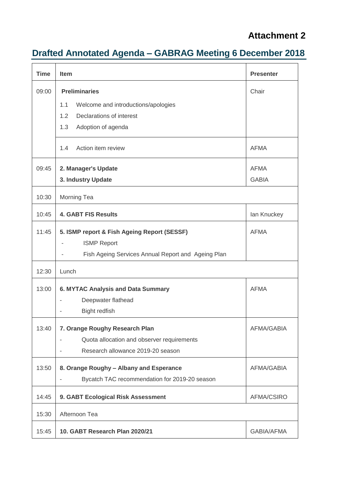# **Attachment 2**

# **Drafted Annotated Agenda – GABRAG Meeting 6 December 2018**

| <b>Time</b> | <b>Item</b>                                                                | <b>Presenter</b>  |
|-------------|----------------------------------------------------------------------------|-------------------|
| 09:00       | <b>Preliminaries</b>                                                       | Chair             |
|             | 1.1<br>Welcome and introductions/apologies                                 |                   |
|             | Declarations of interest<br>1.2                                            |                   |
|             | 1.3<br>Adoption of agenda                                                  |                   |
|             | Action item review<br>1.4                                                  | <b>AFMA</b>       |
| 09:45       | 2. Manager's Update                                                        | <b>AFMA</b>       |
|             | 3. Industry Update                                                         | <b>GABIA</b>      |
| 10:30       | Morning Tea                                                                |                   |
| 10:45       | <b>4. GABT FIS Results</b>                                                 | lan Knuckey       |
| 11:45       | 5. ISMP report & Fish Ageing Report (SESSF)                                | <b>AFMA</b>       |
|             | <b>ISMP Report</b>                                                         |                   |
|             | Fish Ageing Services Annual Report and Ageing Plan                         |                   |
| 12:30       | Lunch                                                                      |                   |
| 13:00       | <b>6. MYTAC Analysis and Data Summary</b>                                  | <b>AFMA</b>       |
|             | Deepwater flathead                                                         |                   |
|             | <b>Bight redfish</b>                                                       |                   |
| 13:40       | 7. Orange Roughy Research Plan                                             | <b>AFMA/GABIA</b> |
|             | Quota allocation and observer requirements<br>$\qquad \qquad \blacksquare$ |                   |
|             | Research allowance 2019-20 season                                          |                   |
| 13:50       | 8. Orange Roughy - Albany and Esperance                                    | <b>AFMA/GABIA</b> |
|             | Bycatch TAC recommendation for 2019-20 season                              |                   |
| 14:45       | 9. GABT Ecological Risk Assessment                                         | AFMA/CSIRO        |
| 15:30       | Afternoon Tea                                                              |                   |
| 15:45       | 10. GABT Research Plan 2020/21                                             | <b>GABIA/AFMA</b> |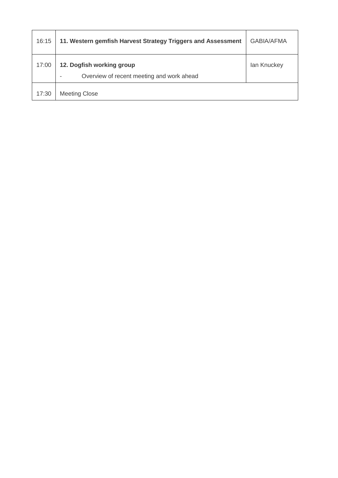| 16:15 | 11. Western gemfish Harvest Strategy Triggers and Assessment           | <b>GABIA/AFMA</b> |
|-------|------------------------------------------------------------------------|-------------------|
| 17:00 | 12. Dogfish working group<br>Overview of recent meeting and work ahead | lan Knuckey       |
| 17:30 | <b>Meeting Close</b>                                                   |                   |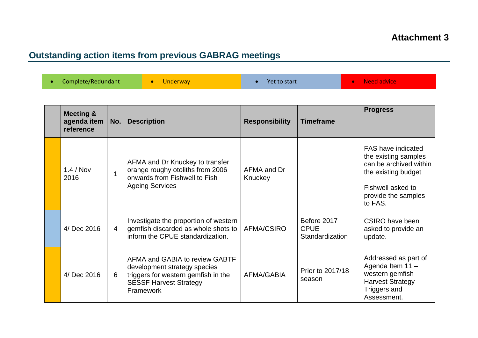# **Outstanding action items from previous GABRAG meetings**

| Complete/Redundant<br><b>ve</b> Need advice<br>Underway<br>Yet to start |  |  |  |  |
|-------------------------------------------------------------------------|--|--|--|--|
|-------------------------------------------------------------------------|--|--|--|--|

| <b>Meeting &amp;</b><br>agenda item<br>reference | No.            | <b>Description</b>                                                                                                                                  | <b>Responsibility</b>  | <b>Timeframe</b>                              | <b>Progress</b>                                                                                                                                           |
|--------------------------------------------------|----------------|-----------------------------------------------------------------------------------------------------------------------------------------------------|------------------------|-----------------------------------------------|-----------------------------------------------------------------------------------------------------------------------------------------------------------|
| 1.4 / Nov<br>2016                                | 1              | AFMA and Dr Knuckey to transfer<br>orange roughy otoliths from 2006<br>onwards from Fishwell to Fish<br><b>Ageing Services</b>                      | AFMA and Dr<br>Knuckey |                                               | <b>FAS have indicated</b><br>the existing samples<br>can be archived within<br>the existing budget<br>Fishwell asked to<br>provide the samples<br>to FAS. |
| 4/ Dec 2016                                      | $\overline{4}$ | Investigate the proportion of western<br>gemfish discarded as whole shots to<br>inform the CPUE standardization.                                    | AFMA/CSIRO             | Before 2017<br><b>CPUE</b><br>Standardization | CSIRO have been<br>asked to provide an<br>update.                                                                                                         |
| 4/ Dec 2016                                      | 6              | AFMA and GABIA to review GABTF<br>development strategy species<br>triggers for western gemfish in the<br><b>SESSF Harvest Strategy</b><br>Framework | AFMA/GABIA             | Prior to 2017/18<br>season                    | Addressed as part of<br>Agenda Item 11 -<br>western gemfish<br><b>Harvest Strategy</b><br>Triggers and<br>Assessment.                                     |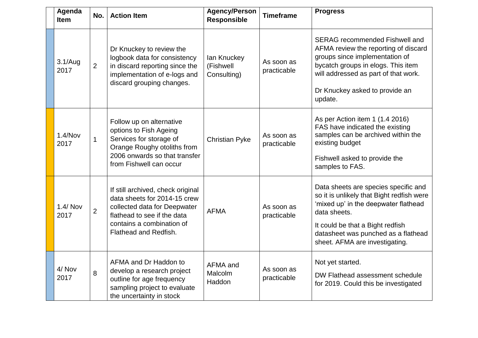| Agenda<br><b>Item</b> | No.            | <b>Action Item</b>                                                                                                                                                                     | <b>Agency/Person</b><br><b>Responsible</b> | <b>Timeframe</b>          | <b>Progress</b>                                                                                                                                                                                                                                        |
|-----------------------|----------------|----------------------------------------------------------------------------------------------------------------------------------------------------------------------------------------|--------------------------------------------|---------------------------|--------------------------------------------------------------------------------------------------------------------------------------------------------------------------------------------------------------------------------------------------------|
| 3.1/Aug<br>2017       | $\overline{2}$ | Dr Knuckey to review the<br>logbook data for consistency<br>in discard reporting since the<br>implementation of e-logs and<br>discard grouping changes.                                | lan Knuckey<br>(Fishwell<br>Consulting)    | As soon as<br>practicable | <b>SERAG</b> recommended Fishwell and<br>AFMA review the reporting of discard<br>groups since implementation of<br>bycatch groups in elogs. This item<br>will addressed as part of that work.<br>Dr Knuckey asked to provide an<br>update.             |
| 1.4/Nov<br>2017       | $\mathbf{1}$   | Follow up on alternative<br>options to Fish Ageing<br>Services for storage of<br>Orange Roughy otoliths from<br>2006 onwards so that transfer<br>from Fishwell can occur               | <b>Christian Pyke</b>                      | As soon as<br>practicable | As per Action item 1 (1.4 2016)<br>FAS have indicated the existing<br>samples can be archived within the<br>existing budget<br>Fishwell asked to provide the<br>samples to FAS.                                                                        |
| 1.4/ Nov<br>2017      | $\overline{2}$ | If still archived, check original<br>data sheets for 2014-15 crew<br>collected data for Deepwater<br>flathead to see if the data<br>contains a combination of<br>Flathead and Redfish. | <b>AFMA</b>                                | As soon as<br>practicable | Data sheets are species specific and<br>so it is unlikely that Bight redfish were<br>'mixed up' in the deepwater flathead<br>data sheets.<br>It could be that a Bight redfish<br>datasheet was punched as a flathead<br>sheet. AFMA are investigating. |
| 4/ Nov<br>2017        | 8              | AFMA and Dr Haddon to<br>develop a research project<br>outline for age frequency<br>sampling project to evaluate<br>the uncertainty in stock                                           | AFMA and<br>Malcolm<br>Haddon              | As soon as<br>practicable | Not yet started.<br>DW Flathead assessment schedule<br>for 2019. Could this be investigated                                                                                                                                                            |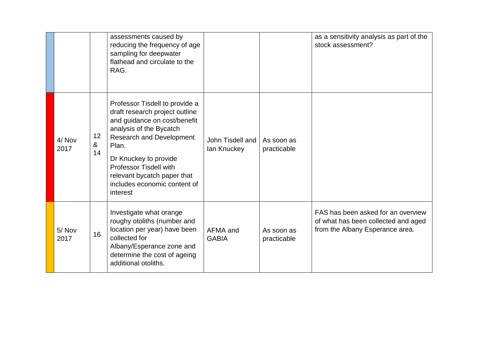|                |               | assessments caused by<br>reducing the frequency of age<br>sampling for deepwater<br>flathead and circulate to the<br>RAG.                                                                                                                                                                                    |                                 |                           | as a sensitivity analysis as part of the<br>stock assessment?                                                |
|----------------|---------------|--------------------------------------------------------------------------------------------------------------------------------------------------------------------------------------------------------------------------------------------------------------------------------------------------------------|---------------------------------|---------------------------|--------------------------------------------------------------------------------------------------------------|
| 4/ Nov<br>2017 | 12<br>&<br>14 | Professor Tisdell to provide a<br>draft research project outline<br>and guidance on cost/benefit<br>analysis of the Bycatch<br><b>Research and Development</b><br>Plan.<br>Dr Knuckey to provide<br><b>Professor Tisdell with</b><br>relevant bycatch paper that<br>includes economic content of<br>interest | John Tisdell and<br>lan Knuckey | As soon as<br>practicable |                                                                                                              |
| 5/Nov<br>2017  | 16            | Investigate what orange<br>roughy otoliths (number and<br>location per year) have been<br>collected for<br>Albany/Esperance zone and<br>determine the cost of ageing<br>additional otoliths.                                                                                                                 | AFMA and<br><b>GABIA</b>        | As soon as<br>practicable | FAS has been asked for an overview<br>of what has been collected and aged<br>from the Albany Esperance area. |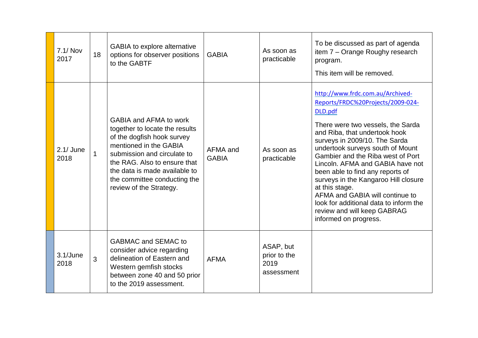| $7.1/$ Nov<br>2017  | 18           | GABIA to explore alternative<br>options for observer positions<br>to the GABTF                                                                                                                                                                                              | <b>GABIA</b>             | As soon as<br>practicable                       | To be discussed as part of agenda<br>item 7 - Orange Roughy research<br>program.<br>This item will be removed.                                                                                                                                                                                                                                                                                                                                                                                                                          |
|---------------------|--------------|-----------------------------------------------------------------------------------------------------------------------------------------------------------------------------------------------------------------------------------------------------------------------------|--------------------------|-------------------------------------------------|-----------------------------------------------------------------------------------------------------------------------------------------------------------------------------------------------------------------------------------------------------------------------------------------------------------------------------------------------------------------------------------------------------------------------------------------------------------------------------------------------------------------------------------------|
| $2.1/$ June<br>2018 | $\mathbf{1}$ | GABIA and AFMA to work<br>together to locate the results<br>of the dogfish hook survey<br>mentioned in the GABIA<br>submission and circulate to<br>the RAG. Also to ensure that<br>the data is made available to<br>the committee conducting the<br>review of the Strategy. | AFMA and<br><b>GABIA</b> | As soon as<br>practicable                       | http://www.frdc.com.au/Archived-<br>Reports/FRDC%20Projects/2009-024-<br>DLD.pdf<br>There were two vessels, the Sarda<br>and Riba, that undertook hook<br>surveys in 2009/10. The Sarda<br>undertook surveys south of Mount<br>Gambier and the Riba west of Port<br>Lincoln. AFMA and GABIA have not<br>been able to find any reports of<br>surveys in the Kangaroo Hill closure<br>at this stage.<br>AFMA and GABIA will continue to<br>look for additional data to inform the<br>review and will keep GABRAG<br>informed on progress. |
| $3.1$ /June<br>2018 | 3            | <b>GABMAC and SEMAC to</b><br>consider advice regarding<br>delineation of Eastern and<br>Western gemfish stocks<br>between zone 40 and 50 prior<br>to the 2019 assessment.                                                                                                  | <b>AFMA</b>              | ASAP, but<br>prior to the<br>2019<br>assessment |                                                                                                                                                                                                                                                                                                                                                                                                                                                                                                                                         |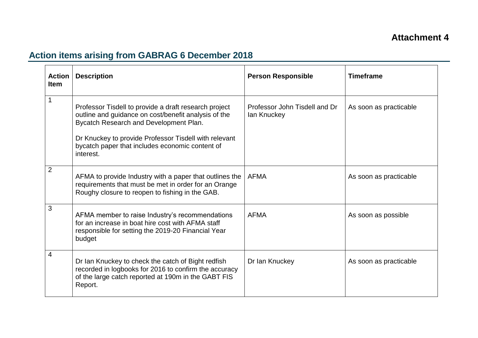# **Action items arising from GABRAG 6 December 2018**

| <b>Action</b><br><b>Item</b> | <b>Description</b>                                                                                                                                                                                                                                                               | <b>Person Responsible</b>                    | <b>Timeframe</b>       |
|------------------------------|----------------------------------------------------------------------------------------------------------------------------------------------------------------------------------------------------------------------------------------------------------------------------------|----------------------------------------------|------------------------|
| 1                            | Professor Tisdell to provide a draft research project<br>outline and guidance on cost/benefit analysis of the<br>Bycatch Research and Development Plan.<br>Dr Knuckey to provide Professor Tisdell with relevant<br>bycatch paper that includes economic content of<br>interest. | Professor John Tisdell and Dr<br>lan Knuckey | As soon as practicable |
| $\overline{2}$               | AFMA to provide Industry with a paper that outlines the<br>requirements that must be met in order for an Orange<br>Roughy closure to reopen to fishing in the GAB.                                                                                                               | <b>AFMA</b>                                  | As soon as practicable |
| 3                            | AFMA member to raise Industry's recommendations<br>for an increase in boat hire cost with AFMA staff<br>responsible for setting the 2019-20 Financial Year<br>budget                                                                                                             | <b>AFMA</b>                                  | As soon as possible    |
| 4                            | Dr Ian Knuckey to check the catch of Bight redfish<br>recorded in logbooks for 2016 to confirm the accuracy<br>of the large catch reported at 190m in the GABT FIS<br>Report.                                                                                                    | Dr Ian Knuckey                               | As soon as practicable |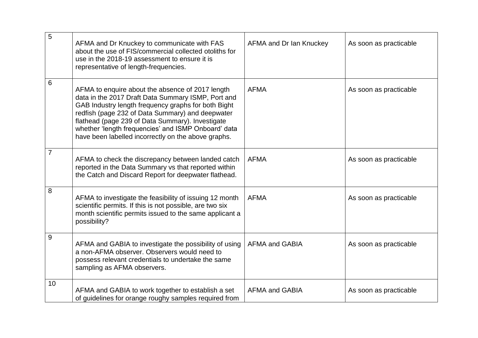| $\overline{5}$ | AFMA and Dr Knuckey to communicate with FAS<br>about the use of FIS/commercial collected otoliths for<br>use in the 2018-19 assessment to ensure it is<br>representative of length-frequencies.                                                                                                                                                                                     | AFMA and Dr Ian Knuckey | As soon as practicable |
|----------------|-------------------------------------------------------------------------------------------------------------------------------------------------------------------------------------------------------------------------------------------------------------------------------------------------------------------------------------------------------------------------------------|-------------------------|------------------------|
| 6              | AFMA to enquire about the absence of 2017 length<br>data in the 2017 Draft Data Summary ISMP, Port and<br>GAB Industry length frequency graphs for both Bight<br>redfish (page 232 of Data Summary) and deepwater<br>flathead (page 239 of Data Summary). Investigate<br>whether 'length frequencies' and ISMP Onboard' data<br>have been labelled incorrectly on the above graphs. | <b>AFMA</b>             | As soon as practicable |
| 7              | AFMA to check the discrepancy between landed catch<br>reported in the Data Summary vs that reported within<br>the Catch and Discard Report for deepwater flathead.                                                                                                                                                                                                                  | <b>AFMA</b>             | As soon as practicable |
| 8              | AFMA to investigate the feasibility of issuing 12 month<br>scientific permits. If this is not possible, are two six<br>month scientific permits issued to the same applicant a<br>possibility?                                                                                                                                                                                      | <b>AFMA</b>             | As soon as practicable |
| 9              | AFMA and GABIA to investigate the possibility of using<br>a non-AFMA observer. Observers would need to<br>possess relevant credentials to undertake the same<br>sampling as AFMA observers.                                                                                                                                                                                         | <b>AFMA and GABIA</b>   | As soon as practicable |
| 10             | AFMA and GABIA to work together to establish a set<br>of guidelines for orange roughy samples required from                                                                                                                                                                                                                                                                         | <b>AFMA and GABIA</b>   | As soon as practicable |